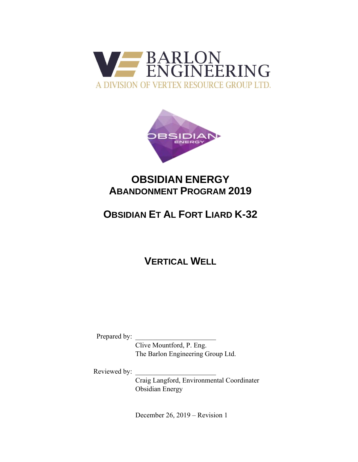



# **OBSIDIAN ENERGY ABANDONMENT PROGRAM 2019**

# **OBSIDIAN ET AL FORT LIARD K-32**

**VERTICAL WELL**

Prepared by:

Clive Mountford, P. Eng. The Barlon Engineering Group Ltd.

Reviewed by:

Craig Langford, Environmental Coordinater Obsidian Energy

December 26, 2019 – Revision 1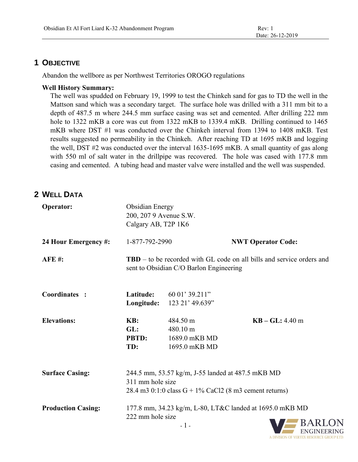### **1 OBJECTIVE**

Abandon the wellbore as per Northwest Territories OROGO regulations

### **Well History Summary:**

The well was spudded on February 19, 1999 to test the Chinkeh sand for gas to TD the well in the Mattson sand which was a secondary target. The surface hole was drilled with a 311 mm bit to a depth of 487.5 m where 244.5 mm surface casing was set and cemented. After drilling 222 mm hole to 1322 mKB a core was cut from 1322 mKB to 1339.4 mKB. Drilling continued to 1465 mKB where DST #1 was conducted over the Chinkeh interval from 1394 to 1408 mKB. Test results suggested no permeability in the Chinkeh. After reaching TD at 1695 mKB and logging the well, DST #2 was conducted over the interval 1635-1695 mKB. A small quantity of gas along with 550 ml of salt water in the drillpipe was recovered. The hole was cased with 177.8 mm casing and cemented. A tubing head and master valve were installed and the well was suspended.

## **2 WELL DATA**

| Operator:                 | <b>Obsidian Energy</b><br>200, 207 9 Avenue S.W.<br>Calgary AB, T2P 1K6                                                              |                                                                  |                           |
|---------------------------|--------------------------------------------------------------------------------------------------------------------------------------|------------------------------------------------------------------|---------------------------|
| 24 Hour Emergency #:      | 1-877-792-2990                                                                                                                       |                                                                  | <b>NWT Operator Code:</b> |
| <b>AFE#:</b>              | <b>TBD</b> – to be recorded with GL code on all bills and service orders and<br>sent to Obsidian C/O Barlon Engineering              |                                                                  |                           |
| Coordinates :             | Latitude:<br>Longitude:                                                                                                              | 60 01' 39.211"<br>123 21' 49.639"                                |                           |
| <b>Elevations:</b>        | KB:<br>GL:<br><b>PBTD:</b><br>TD:                                                                                                    | 484.50 m<br>$480.10 \text{ m}$<br>1689.0 mKB MD<br>1695.0 mKB MD | $KB - GL: 4.40 m$         |
| <b>Surface Casing:</b>    | 244.5 mm, 53.57 kg/m, J-55 landed at 487.5 mKB MD<br>311 mm hole size<br>28.4 m3 $0:1:0$ class $G + 1\%$ CaCl2 (8 m3 cement returns) |                                                                  |                           |
| <b>Production Casing:</b> | 177.8 mm, 34.23 kg/m, L-80, LT&C landed at 1695.0 mKB MD<br>222 mm hole size<br>R A D I C                                            |                                                                  |                           |

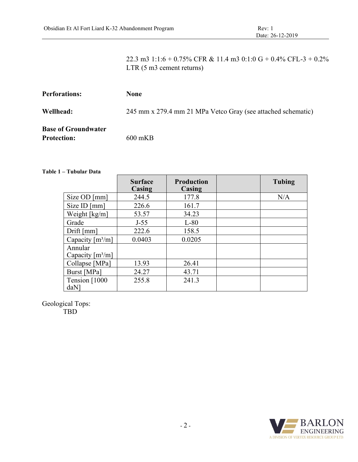22.3 m3 1:1:6 + 0.75% CFR & 11.4 m3 0:1:0 G + 0.4% CFL-3 + 0.2% LTR (5 m3 cement returns)

| <b>Perforations:</b>       | <b>None</b>                                                  |
|----------------------------|--------------------------------------------------------------|
| Wellhead:                  | 245 mm x 279.4 mm 21 MPa Vetco Gray (see attached schematic) |
| <b>Base of Groundwater</b> |                                                              |
| <b>Protection:</b>         | $600 \text{ mKB}$                                            |

#### **Table 1 – Tubular Data**

|                                   | <b>Surface</b><br>Casing | <b>Production</b><br>Casing | <b>Tubing</b> |
|-----------------------------------|--------------------------|-----------------------------|---------------|
| Size OD [mm]                      | 244.5                    | 177.8                       | N/A           |
| Size ID [mm]                      | 226.6                    | 161.7                       |               |
| Weight [kg/m]                     | 53.57                    | 34.23                       |               |
| Grade                             | $J-55$                   | $L-80$                      |               |
| Drift [mm]                        | 222.6                    | 158.5                       |               |
| Capacity $[m3/m]$                 | 0.0403                   | 0.0205                      |               |
| Annular<br>Capacity $[m3/m]$      |                          |                             |               |
| Collapse [MPa]                    | 13.93                    | 26.41                       |               |
| Burst [MPa]                       | 24.27                    | 43.71                       |               |
| Tension [1000<br>daN <sup>1</sup> | 255.8                    | 241.3                       |               |

Geological Tops:

TBD

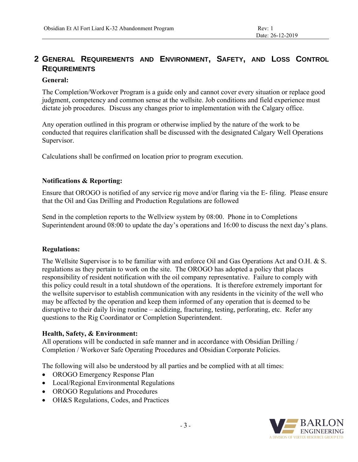# **2 GENERAL REQUIREMENTS AND ENVIRONMENT, SAFETY, AND LOSS CONTROL REQUIREMENTS**

### **General:**

The Completion/Workover Program is a guide only and cannot cover every situation or replace good judgment, competency and common sense at the wellsite. Job conditions and field experience must dictate job procedures. Discuss any changes prior to implementation with the Calgary office.

Any operation outlined in this program or otherwise implied by the nature of the work to be conducted that requires clarification shall be discussed with the designated Calgary Well Operations Supervisor.

Calculations shall be confirmed on location prior to program execution.

### **Notifications & Reporting:**

Ensure that OROGO is notified of any service rig move and/or flaring via the E- filing. Please ensure that the Oil and Gas Drilling and Production Regulations are followed

Send in the completion reports to the Wellview system by 08:00. Phone in to Completions Superintendent around 08:00 to update the day's operations and 16:00 to discuss the next day's plans.

### **Regulations:**

The Wellsite Supervisor is to be familiar with and enforce Oil and Gas Operations Act and O.H. & S. regulations as they pertain to work on the site. The OROGO has adopted a policy that places responsibility of resident notification with the oil company representative. Failure to comply with this policy could result in a total shutdown of the operations. It is therefore extremely important for the wellsite supervisor to establish communication with any residents in the vicinity of the well who may be affected by the operation and keep them informed of any operation that is deemed to be disruptive to their daily living routine – acidizing, fracturing, testing, perforating, etc. Refer any questions to the Rig Coordinator or Completion Superintendent.

### **Health, Safety, & Environment:**

All operations will be conducted in safe manner and in accordance with Obsidian Drilling / Completion / Workover Safe Operating Procedures and Obsidian Corporate Policies.

The following will also be understood by all parties and be complied with at all times:

- OROGO Emergency Response Plan
- Local/Regional Environmental Regulations
- OROGO Regulations and Procedures
- OH&S Regulations, Codes, and Practices

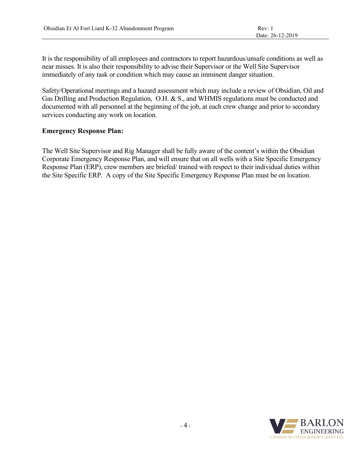It is the responsibility of all employees and contractors to report hazardous/unsafe conditions as well as near misses. It is also their responsibility to advise their Supervisor or the Well Site Supervisor immediately of any task or condition which may cause an imminent danger situation.

Safety/Operational meetings and a hazard assessment which may include a review of Obsidian, Oil and Gas Drilling and Production Regulation, O.H. & S., and WHMIS regulations must be conducted and documented with all personnel at the beginning of the job, at each crew change and prior to secondary services conducting any work on location.

### **Emergency Response Plan:**

The Well Site Supervisor and Rig Manager shall be fully aware of the content's within the Obsidian Corporate Emergency Response Plan, and will ensure that on all wells with a Site Specific Emergency Response Plan (ERP), crew members are briefed/ trained with respect to their individual duties within the Site Specific ERP. A copy of the Site Specific Emergency Response Plan must be on location.

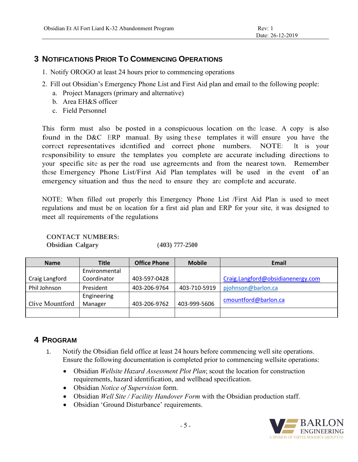### **3 NOTIFICATIONS PRIOR TO COMMENCING OPERATIONS**

- 1. Notify OROGO at least 24 hours prior to commencing operations
- 2. Fill out Obsidian's Emergency Phone List and First Aid plan and email to the following people:
	- a. Project Managers (primary and alternative)
	- b. Area EH&S officer
	- c. Field Personnel

This form must also be posted in a conspicuous location on the lease. A copy is also found in the D&C ERP manual. By using these templates it will ensure you have the correct representatives identified and correct phone numbers. NOTE: It is your responsibility to ensure the templates you complete are accurate including directions to your specific site as per the road use agreements and from the nearest town. Remember these Emergency Phone List/First Aid Plan templates will be used in the event of an emergency situation and thus the need to ensure they are complete and accurate.

NOTE: When filled out properly this Emergency Phone List /First Aid Plan is used to meet regulations and must be on location for a first aid plan and ERP for your site, it was designed to meet all requirements of the regulations

**CONTACT NUMBERS:**

**Obsidian Calgary (403) 777-2500**

| <b>Name</b>     | <b>Title</b>           | <b>Office Phone</b> | <b>Mobile</b> | Email                             |
|-----------------|------------------------|---------------------|---------------|-----------------------------------|
|                 | Environmental          |                     |               |                                   |
| Craig Langford  | Coordinator            | 403-597-0428        |               | Craig.Langford@obsidianenergy.com |
| Phil Johnson    | President              | 403-206-9764        | 403-710-5919  | pjohnson@barlon.ca                |
| Clive Mountford | Engineering<br>Manager | 403-206-9762        | 403-999-5606  | cmountford@barlon.ca              |
|                 |                        |                     |               |                                   |

### **4 PROGRAM**

- 1. Notify the Obsidian field office at least 24 hours before commencing well site operations. Ensure the following documentation is completed prior to commencing wellsite operations:
	- Obsidian *Wellsite Hazard Assessment Plot Plan*; scout the location for construction requirements, hazard identification, and wellhead specification.
	- Obsidian *Notice of Supervision* form.
	- Obsidian *Well Site / Facility Handover Form* with the Obsidian production staff.
	- Obsidian 'Ground Disturbance' requirements.

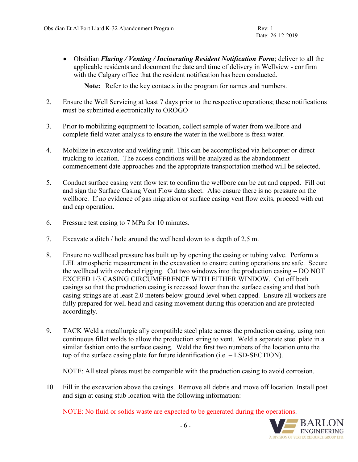• Obsidian *Flaring / Venting / Incinerating Resident Notification Form*; deliver to all the applicable residents and document the date and time of delivery in Wellview - confirm with the Calgary office that the resident notification has been conducted.

**Note:** Refer to the key contacts in the program for names and numbers.

- 2. Ensure the Well Servicing at least 7 days prior to the respective operations; these notifications must be submitted electronically to OROGO
- 3. Prior to mobilizing equipment to location, collect sample of water from wellbore and complete field water analysis to ensure the water in the wellbore is fresh water.
- 4. Mobilize in excavator and welding unit. This can be accomplished via helicopter or direct trucking to location. The access conditions will be analyzed as the abandonment commencement date approaches and the appropriate transportation method will be selected.
- 5. Conduct surface casing vent flow test to confirm the wellbore can be cut and capped. Fill out and sign the Surface Casing Vent Flow data sheet. Also ensure there is no pressure on the wellbore. If no evidence of gas migration or surface casing vent flow exits, proceed with cut and cap operation.
- 6. Pressure test casing to 7 MPa for 10 minutes.
- 7. Excavate a ditch / hole around the wellhead down to a depth of 2.5 m.
- 8. Ensure no wellhead pressure has built up by opening the casing or tubing valve. Perform a LEL atmospheric measurement in the excavation to ensure cutting operations are safe. Secure the wellhead with overhead rigging. Cut two windows into the production casing – DO NOT EXCEED 1/3 CASING CIRCUMFERENCE WITH EITHER WINDOW. Cut off both casings so that the production casing is recessed lower than the surface casing and that both casing strings are at least 2.0 meters below ground level when capped. Ensure all workers are fully prepared for well head and casing movement during this operation and are protected accordingly.
- 9. TACK Weld a metallurgic ally compatible steel plate across the production casing, using non continuous fillet welds to allow the production string to vent. Weld a separate steel plate in a similar fashion onto the surface casing. Weld the first two numbers of the location onto the top of the surface casing plate for future identification (i.e. – LSD-SECTION).

NOTE: All steel plates must be compatible with the production casing to avoid corrosion.

10. Fill in the excavation above the casings. Remove all debris and move off location. Install post and sign at casing stub location with the following information:

NOTE: No fluid or solids waste are expected to be generated during the operations.

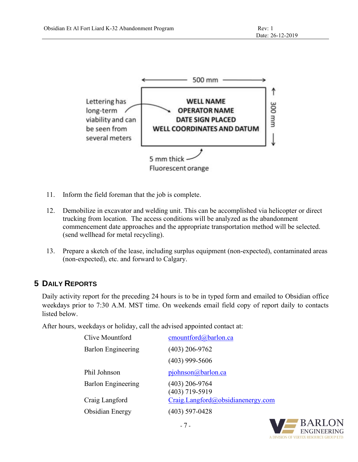

- 11. Inform the field foreman that the job is complete.
- 12. Demobilize in excavator and welding unit. This can be accomplished via helicopter or direct trucking from location. The access conditions will be analyzed as the abandonment commencement date approaches and the appropriate transportation method will be selected. (send wellhead for metal recycling).
- 13. Prepare a sketch of the lease, including surplus equipment (non-expected), contaminated areas (non-expected), etc. and forward to Calgary.

### **5 DAILY REPORTS**

Daily activity report for the preceding 24 hours is to be in typed form and emailed to Obsidian office weekdays prior to 7:30 A.M. MST time. On weekends email field copy of report daily to contacts listed below.

After hours, weekdays or holiday, call the advised appointed contact at:

| Clive Mountford           | cmountford@barlon.ca                 |
|---------------------------|--------------------------------------|
| <b>Barlon Engineering</b> | $(403)$ 206-9762                     |
|                           | $(403)$ 999-5606                     |
| Phil Johnson              | pjohnson@barlon.ca                   |
| <b>Barlon Engineering</b> | $(403)$ 206-9764<br>$(403)$ 719-5919 |
| Craig Langford            | Craig.Langford@obsidianenergy.com    |
| Obsidian Energy           | (403) 597-0428                       |

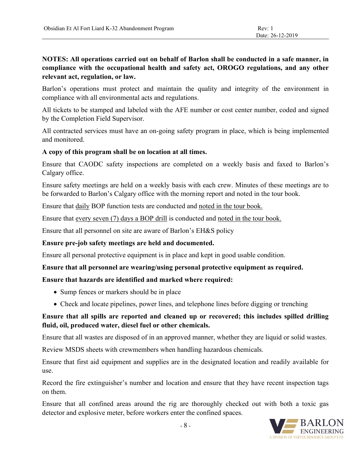### **NOTES: All operations carried out on behalf of Barlon shall be conducted in a safe manner, in compliance with the occupational health and safety act, OROGO regulations, and any other relevant act, regulation, or law.**

Barlon's operations must protect and maintain the quality and integrity of the environment in compliance with all environmental acts and regulations.

All tickets to be stamped and labeled with the AFE number or cost center number, coded and signed by the Completion Field Supervisor.

All contracted services must have an on-going safety program in place, which is being implemented and monitored.

### **A copy of this program shall be on location at all times.**

Ensure that CAODC safety inspections are completed on a weekly basis and faxed to Barlon's Calgary office.

Ensure safety meetings are held on a weekly basis with each crew. Minutes of these meetings are to be forwarded to Barlon's Calgary office with the morning report and noted in the tour book.

Ensure that daily BOP function tests are conducted and noted in the tour book.

Ensure that every seven (7) days a BOP drill is conducted and noted in the tour book.

Ensure that all personnel on site are aware of Barlon's EH&S policy

### **Ensure pre-job safety meetings are held and documented.**

Ensure all personal protective equipment is in place and kept in good usable condition.

### **Ensure that all personnel are wearing/using personal protective equipment as required.**

### **Ensure that hazards are identified and marked where required:**

- Sump fences or markers should be in place
- Check and locate pipelines, power lines, and telephone lines before digging or trenching

### **Ensure that all spills are reported and cleaned up or recovered; this includes spilled drilling fluid, oil, produced water, diesel fuel or other chemicals.**

Ensure that all wastes are disposed of in an approved manner, whether they are liquid or solid wastes.

Review MSDS sheets with crewmembers when handling hazardous chemicals.

Ensure that first aid equipment and supplies are in the designated location and readily available for use.

Record the fire extinguisher's number and location and ensure that they have recent inspection tags on them.

Ensure that all confined areas around the rig are thoroughly checked out with both a toxic gas detector and explosive meter, before workers enter the confined spaces.

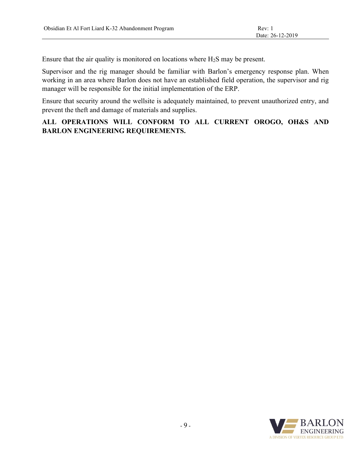Ensure that the air quality is monitored on locations where  $H_2S$  may be present.

Supervisor and the rig manager should be familiar with Barlon's emergency response plan. When working in an area where Barlon does not have an established field operation, the supervisor and rig manager will be responsible for the initial implementation of the ERP.

Ensure that security around the wellsite is adequately maintained, to prevent unauthorized entry, and prevent the theft and damage of materials and supplies.

### **ALL OPERATIONS WILL CONFORM TO ALL CURRENT OROGO, OH&S AND BARLON ENGINEERING REQUIREMENTS.**

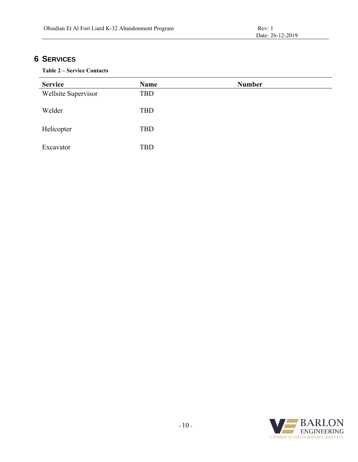## **6 SERVICES**

#### **Table 2 – Service Contacts**

| <b>Service</b>      | <b>Name</b> | <b>Number</b> |
|---------------------|-------------|---------------|
| Wellsite Supervisor | TBD         |               |
| Welder              | TBD         |               |
| Helicopter          | TBD         |               |
| Excavator           | <b>TBD</b>  |               |